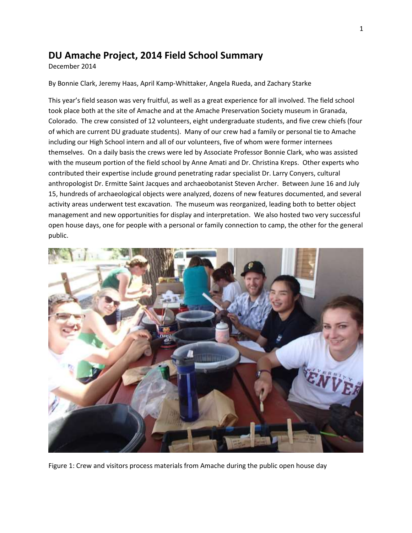# **DU Amache Project, 2014 Field School Summary**

December 2014

By Bonnie Clark, Jeremy Haas, April Kamp-Whittaker, Angela Rueda, and Zachary Starke

This year's field season was very fruitful, as well as a great experience for all involved. The field school took place both at the site of Amache and at the Amache Preservation Society museum in Granada, Colorado. The crew consisted of 12 volunteers, eight undergraduate students, and five crew chiefs (four of which are current DU graduate students). Many of our crew had a family or personal tie to Amache including our High School intern and all of our volunteers, five of whom were former internees themselves. On a daily basis the crews were led by Associate Professor Bonnie Clark, who was assisted with the museum portion of the field school by Anne Amati and Dr. Christina Kreps. Other experts who contributed their expertise include ground penetrating radar specialist Dr. Larry Conyers, cultural anthropologist Dr. Ermitte Saint Jacques and archaeobotanist Steven Archer. Between June 16 and July 15, hundreds of archaeological objects were analyzed, dozens of new features documented, and several activity areas underwent test excavation. The museum was reorganized, leading both to better object management and new opportunities for display and interpretation. We also hosted two very successful open house days, one for people with a personal or family connection to camp, the other for the general public.



Figure 1: Crew and visitors process materials from Amache during the public open house day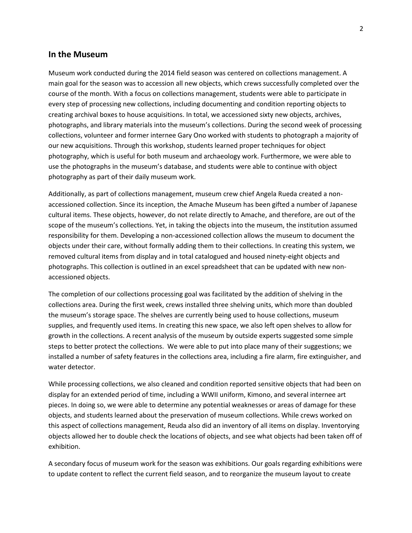### **In the Museum**

Museum work conducted during the 2014 field season was centered on collections management. A main goal for the season was to accession all new objects, which crews successfully completed over the course of the month. With a focus on collections management, students were able to participate in every step of processing new collections, including documenting and condition reporting objects to creating archival boxes to house acquisitions. In total, we accessioned sixty new objects, archives, photographs, and library materials into the museum's collections. During the second week of processing collections, volunteer and former internee Gary Ono worked with students to photograph a majority of our new acquisitions. Through this workshop, students learned proper techniques for object photography, which is useful for both museum and archaeology work. Furthermore, we were able to use the photographs in the museum's database, and students were able to continue with object photography as part of their daily museum work.

Additionally, as part of collections management, museum crew chief Angela Rueda created a nonaccessioned collection. Since its inception, the Amache Museum has been gifted a number of Japanese cultural items. These objects, however, do not relate directly to Amache, and therefore, are out of the scope of the museum's collections. Yet, in taking the objects into the museum, the institution assumed responsibility for them. Developing a non-accessioned collection allows the museum to document the objects under their care, without formally adding them to their collections. In creating this system, we removed cultural items from display and in total catalogued and housed ninety-eight objects and photographs. This collection is outlined in an excel spreadsheet that can be updated with new nonaccessioned objects.

The completion of our collections processing goal was facilitated by the addition of shelving in the collections area. During the first week, crews installed three shelving units, which more than doubled the museum's storage space. The shelves are currently being used to house collections, museum supplies, and frequently used items. In creating this new space, we also left open shelves to allow for growth in the collections. A recent analysis of the museum by outside experts suggested some simple steps to better protect the collections. We were able to put into place many of their suggestions; we installed a number of safety features in the collections area, including a fire alarm, fire extinguisher, and water detector.

While processing collections, we also cleaned and condition reported sensitive objects that had been on display for an extended period of time, including a WWII uniform, Kimono, and several internee art pieces. In doing so, we were able to determine any potential weaknesses or areas of damage for these objects, and students learned about the preservation of museum collections. While crews worked on this aspect of collections management, Reuda also did an inventory of all items on display. Inventorying objects allowed her to double check the locations of objects, and see what objects had been taken off of exhibition.

A secondary focus of museum work for the season was exhibitions. Our goals regarding exhibitions were to update content to reflect the current field season, and to reorganize the museum layout to create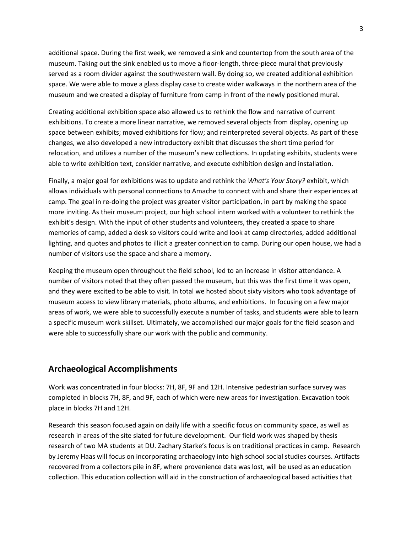additional space. During the first week, we removed a sink and countertop from the south area of the museum. Taking out the sink enabled us to move a floor-length, three-piece mural that previously served as a room divider against the southwestern wall. By doing so, we created additional exhibition space. We were able to move a glass display case to create wider walkways in the northern area of the museum and we created a display of furniture from camp in front of the newly positioned mural.

Creating additional exhibition space also allowed us to rethink the flow and narrative of current exhibitions. To create a more linear narrative, we removed several objects from display, opening up space between exhibits; moved exhibitions for flow; and reinterpreted several objects. As part of these changes, we also developed a new introductory exhibit that discusses the short time period for relocation, and utilizes a number of the museum's new collections. In updating exhibits, students were able to write exhibition text, consider narrative, and execute exhibition design and installation.

Finally, a major goal for exhibitions was to update and rethink the *What's Your Story?* exhibit, which allows individuals with personal connections to Amache to connect with and share their experiences at camp. The goal in re-doing the project was greater visitor participation, in part by making the space more inviting. As their museum project, our high school intern worked with a volunteer to rethink the exhibit's design. With the input of other students and volunteers, they created a space to share memories of camp, added a desk so visitors could write and look at camp directories, added additional lighting, and quotes and photos to illicit a greater connection to camp. During our open house, we had a number of visitors use the space and share a memory.

Keeping the museum open throughout the field school, led to an increase in visitor attendance. A number of visitors noted that they often passed the museum, but this was the first time it was open, and they were excited to be able to visit. In total we hosted about sixty visitors who took advantage of museum access to view library materials, photo albums, and exhibitions. In focusing on a few major areas of work, we were able to successfully execute a number of tasks, and students were able to learn a specific museum work skillset. Ultimately, we accomplished our major goals for the field season and were able to successfully share our work with the public and community.

# **Archaeological Accomplishments**

Work was concentrated in four blocks: 7H, 8F, 9F and 12H. Intensive pedestrian surface survey was completed in blocks 7H, 8F, and 9F, each of which were new areas for investigation. Excavation took place in blocks 7H and 12H.

Research this season focused again on daily life with a specific focus on community space, as well as research in areas of the site slated for future development. Our field work was shaped by thesis research of two MA students at DU. Zachary Starke's focus is on traditional practices in camp. Research by Jeremy Haas will focus on incorporating archaeology into high school social studies courses. Artifacts recovered from a collectors pile in 8F, where provenience data was lost, will be used as an education collection. This education collection will aid in the construction of archaeological based activities that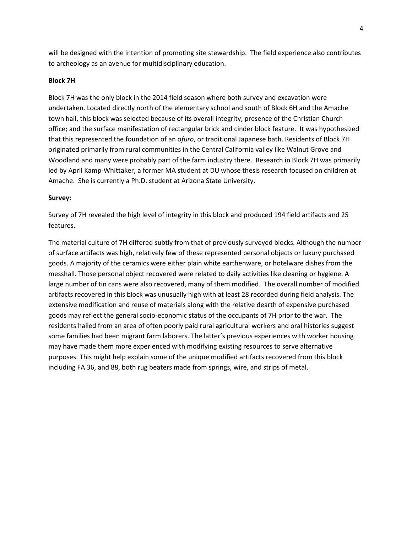will be designed with the intention of promoting site stewardship. The field experience also contributes to archeology as an avenue for multidisciplinary education.

#### **Block 7H**

Block 7H was the only block in the 2014 field season where both survey and excavation were undertaken. Located directly north of the elementary school and south of Block 6H and the Amache town hall, this block was selected because of its overall integrity; presence of the Christian Church office; and the surface manifestation of rectangular brick and cinder block feature. It was hypothesized that this represented the foundation of an o*furo*, or traditional Japanese bath. Residents of Block 7H originated primarily from rural communities in the Central California valley like Walnut Grove and Woodland and many were probably part of the farm industry there. Research in Block 7H was primarily led by April Kamp-Whittaker, a former MA student at DU whose thesis research focused on children at Amache. She is currently a Ph.D. student at Arizona State University.

#### **Survey:**

Survey of 7H revealed the high level of integrity in this block and produced 194 field artifacts and 25 features.

The material culture of 7H differed subtly from that of previously surveyed blocks. Although the number of surface artifacts was high, relatively few of these represented personal objects or luxury purchased goods. A majority of the ceramics were either plain white earthenware, or hotelware dishes from the messhall. Those personal object recovered were related to daily activities like cleaning or hygiene. A large number of tin cans were also recovered, many of them modified. The overall number of modified artifacts recovered in this block was unusually high with at least 28 recorded during field analysis. The extensive modification and reuse of materials along with the relative dearth of expensive purchased goods may reflect the general socio-economic status of the occupants of 7H prior to the war. The residents hailed from an area of often poorly paid rural agricultural workers and oral histories suggest some families had been migrant farm laborers. The latter's previous experiences with worker housing may have made them more experienced with modifying existing resources to serve alternative purposes. This might help explain some of the unique modified artifacts recovered from this block including FA 36, and 88, both rug beaters made from springs, wire, and strips of metal.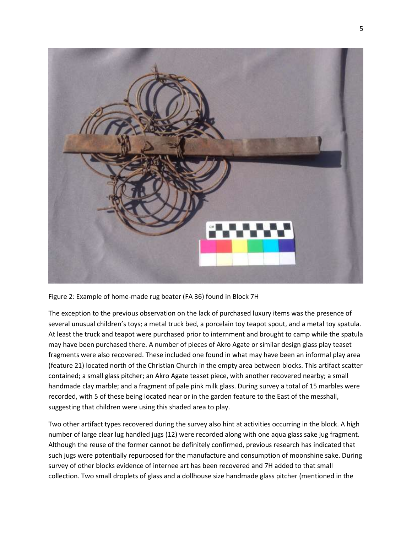

Figure 2: Example of home-made rug beater (FA 36) found in Block 7H

The exception to the previous observation on the lack of purchased luxury items was the presence of several unusual children's toys; a metal truck bed, a porcelain toy teapot spout, and a metal toy spatula. At least the truck and teapot were purchased prior to internment and brought to camp while the spatula may have been purchased there. A number of pieces of Akro Agate or similar design glass play teaset fragments were also recovered. These included one found in what may have been an informal play area (feature 21) located north of the Christian Church in the empty area between blocks. This artifact scatter contained; a small glass pitcher; an Akro Agate teaset piece, with another recovered nearby; a small handmade clay marble; and a fragment of pale pink milk glass. During survey a total of 15 marbles were recorded, with 5 of these being located near or in the garden feature to the East of the messhall, suggesting that children were using this shaded area to play.

Two other artifact types recovered during the survey also hint at activities occurring in the block. A high number of large clear lug handled jugs (12) were recorded along with one aqua glass sake jug fragment. Although the reuse of the former cannot be definitely confirmed, previous research has indicated that such jugs were potentially repurposed for the manufacture and consumption of moonshine sake. During survey of other blocks evidence of internee art has been recovered and 7H added to that small collection. Two small droplets of glass and a dollhouse size handmade glass pitcher (mentioned in the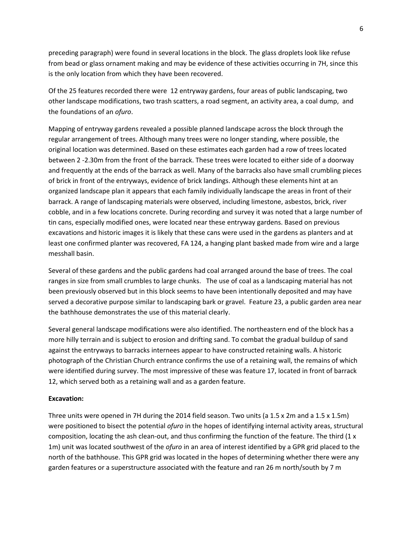preceding paragraph) were found in several locations in the block. The glass droplets look like refuse from bead or glass ornament making and may be evidence of these activities occurring in 7H, since this is the only location from which they have been recovered.

Of the 25 features recorded there were 12 entryway gardens, four areas of public landscaping, two other landscape modifications, two trash scatters, a road segment, an activity area, a coal dump, and the foundations of an *ofuro*.

Mapping of entryway gardens revealed a possible planned landscape across the block through the regular arrangement of trees. Although many trees were no longer standing, where possible, the original location was determined. Based on these estimates each garden had a row of trees located between 2 -2.30m from the front of the barrack. These trees were located to either side of a doorway and frequently at the ends of the barrack as well. Many of the barracks also have small crumbling pieces of brick in front of the entryways, evidence of brick landings. Although these elements hint at an organized landscape plan it appears that each family individually landscape the areas in front of their barrack. A range of landscaping materials were observed, including limestone, asbestos, brick, river cobble, and in a few locations concrete. During recording and survey it was noted that a large number of tin cans, especially modified ones, were located near these entryway gardens. Based on previous excavations and historic images it is likely that these cans were used in the gardens as planters and at least one confirmed planter was recovered, FA 124, a hanging plant basked made from wire and a large messhall basin.

Several of these gardens and the public gardens had coal arranged around the base of trees. The coal ranges in size from small crumbles to large chunks. The use of coal as a landscaping material has not been previously observed but in this block seems to have been intentionally deposited and may have served a decorative purpose similar to landscaping bark or gravel. Feature 23, a public garden area near the bathhouse demonstrates the use of this material clearly.

Several general landscape modifications were also identified. The northeastern end of the block has a more hilly terrain and is subject to erosion and drifting sand. To combat the gradual buildup of sand against the entryways to barracks internees appear to have constructed retaining walls. A historic photograph of the Christian Church entrance confirms the use of a retaining wall, the remains of which were identified during survey. The most impressive of these was feature 17, located in front of barrack 12, which served both as a retaining wall and as a garden feature.

#### **Excavation:**

Three units were opened in 7H during the 2014 field season. Two units (a 1.5 x 2m and a 1.5 x 1.5m) were positioned to bisect the potential *ofuro* in the hopes of identifying internal activity areas, structural composition, locating the ash clean-out, and thus confirming the function of the feature. The third (1 x 1m) unit was located southwest of the *ofuro* in an area of interest identified by a GPR grid placed to the north of the bathhouse. This GPR grid was located in the hopes of determining whether there were any garden features or a superstructure associated with the feature and ran 26 m north/south by 7 m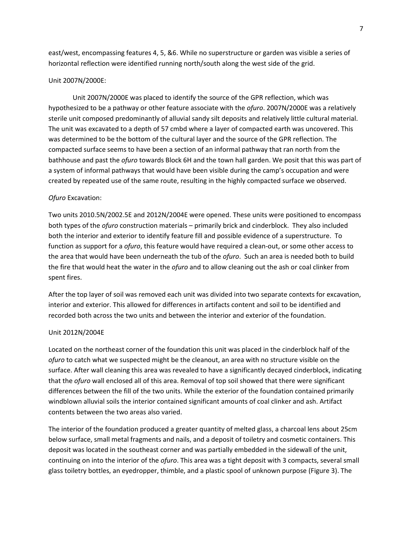east/west, encompassing features 4, 5, &6. While no superstructure or garden was visible a series of horizontal reflection were identified running north/south along the west side of the grid.

#### Unit 2007N/2000E:

Unit 2007N/2000E was placed to identify the source of the GPR reflection, which was hypothesized to be a pathway or other feature associate with the *ofuro*. 2007N/2000E was a relatively sterile unit composed predominantly of alluvial sandy silt deposits and relatively little cultural material. The unit was excavated to a depth of 57 cmbd where a layer of compacted earth was uncovered. This was determined to be the bottom of the cultural layer and the source of the GPR reflection. The compacted surface seems to have been a section of an informal pathway that ran north from the bathhouse and past the *ofuro* towards Block 6H and the town hall garden. We posit that this was part of a system of informal pathways that would have been visible during the camp's occupation and were created by repeated use of the same route, resulting in the highly compacted surface we observed.

#### *Ofuro* Excavation:

Two units 2010.5N/2002.5E and 2012N/2004E were opened. These units were positioned to encompass both types of the *ofuro* construction materials – primarily brick and cinderblock. They also included both the interior and exterior to identify feature fill and possible evidence of a superstructure. To function as support for a *ofuro*, this feature would have required a clean-out, or some other access to the area that would have been underneath the tub of the *ofuro*. Such an area is needed both to build the fire that would heat the water in the *ofuro* and to allow cleaning out the ash or coal clinker from spent fires.

After the top layer of soil was removed each unit was divided into two separate contexts for excavation, interior and exterior. This allowed for differences in artifacts content and soil to be identified and recorded both across the two units and between the interior and exterior of the foundation.

#### Unit 2012N/2004E

Located on the northeast corner of the foundation this unit was placed in the cinderblock half of the *ofuro* to catch what we suspected might be the cleanout, an area with no structure visible on the surface. After wall cleaning this area was revealed to have a significantly decayed cinderblock, indicating that the *ofuro* wall enclosed all of this area. Removal of top soil showed that there were significant differences between the fill of the two units. While the exterior of the foundation contained primarily windblown alluvial soils the interior contained significant amounts of coal clinker and ash. Artifact contents between the two areas also varied.

The interior of the foundation produced a greater quantity of melted glass, a charcoal lens about 25cm below surface, small metal fragments and nails, and a deposit of toiletry and cosmetic containers. This deposit was located in the southeast corner and was partially embedded in the sidewall of the unit, continuing on into the interior of the *ofuro*. This area was a tight deposit with 3 compacts, several small glass toiletry bottles, an eyedropper, thimble, and a plastic spool of unknown purpose (Figure 3). The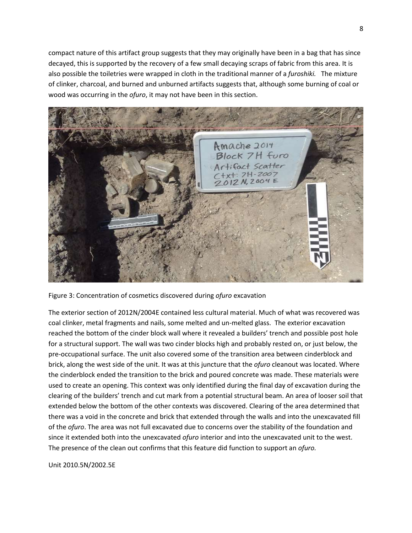compact nature of this artifact group suggests that they may originally have been in a bag that has since decayed, this is supported by the recovery of a few small decaying scraps of fabric from this area. It is also possible the toiletries were wrapped in cloth in the traditional manner of a *furoshiki.* The mixture of clinker, charcoal, and burned and unburned artifacts suggests that, although some burning of coal or wood was occurring in the *ofuro*, it may not have been in this section.



Figure 3: Concentration of cosmetics discovered during *ofuro* excavation

The exterior section of 2012N/2004E contained less cultural material. Much of what was recovered was coal clinker, metal fragments and nails, some melted and un-melted glass. The exterior excavation reached the bottom of the cinder block wall where it revealed a builders' trench and possible post hole for a structural support. The wall was two cinder blocks high and probably rested on, or just below, the pre-occupational surface. The unit also covered some of the transition area between cinderblock and brick, along the west side of the unit. It was at this juncture that the *ofuro* cleanout was located. Where the cinderblock ended the transition to the brick and poured concrete was made. These materials were used to create an opening. This context was only identified during the final day of excavation during the clearing of the builders' trench and cut mark from a potential structural beam. An area of looser soil that extended below the bottom of the other contexts was discovered. Clearing of the area determined that there was a void in the concrete and brick that extended through the walls and into the unexcavated fill of the *ofuro*. The area was not full excavated due to concerns over the stability of the foundation and since it extended both into the unexcavated *ofuro* interior and into the unexcavated unit to the west. The presence of the clean out confirms that this feature did function to support an *ofuro.* 

### Unit 2010.5N/2002.5E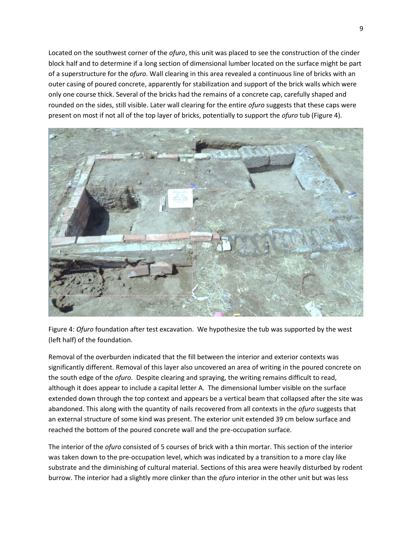Located on the southwest corner of the *ofuro*, this unit was placed to see the construction of the cinder block half and to determine if a long section of dimensional lumber located on the surface might be part of a superstructure for the *ofuro*. Wall clearing in this area revealed a continuous line of bricks with an outer casing of poured concrete, apparently for stabilization and support of the brick walls which were only one course thick. Several of the bricks had the remains of a concrete cap, carefully shaped and rounded on the sides, still visible. Later wall clearing for the entire *ofuro* suggests that these caps were present on most if not all of the top layer of bricks, potentially to support the *ofuro* tub (Figure 4).



Figure 4: *Ofuro* foundation after test excavation. We hypothesize the tub was supported by the west (left half) of the foundation.

Removal of the overburden indicated that the fill between the interior and exterior contexts was significantly different. Removal of this layer also uncovered an area of writing in the poured concrete on the south edge of the *ofuro*. Despite clearing and spraying, the writing remains difficult to read, although it does appear to include a capital letter A. The dimensional lumber visible on the surface extended down through the top context and appears be a vertical beam that collapsed after the site was abandoned. This along with the quantity of nails recovered from all contexts in the *ofuro* suggests that an external structure of some kind was present. The exterior unit extended 39 cm below surface and reached the bottom of the poured concrete wall and the pre-occupation surface.

The interior of the *ofuro* consisted of 5 courses of brick with a thin mortar. This section of the interior was taken down to the pre-occupation level, which was indicated by a transition to a more clay like substrate and the diminishing of cultural material. Sections of this area were heavily disturbed by rodent burrow. The interior had a slightly more clinker than the *ofuro* interior in the other unit but was less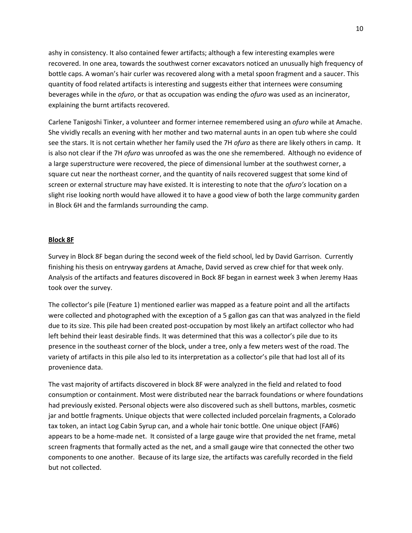ashy in consistency. It also contained fewer artifacts; although a few interesting examples were recovered. In one area, towards the southwest corner excavators noticed an unusually high frequency of bottle caps. A woman's hair curler was recovered along with a metal spoon fragment and a saucer. This quantity of food related artifacts is interesting and suggests either that internees were consuming beverages while in the *ofuro*, or that as occupation was ending the *ofuro* was used as an incinerator, explaining the burnt artifacts recovered.

Carlene Tanigoshi Tinker, a volunteer and former internee remembered using an *ofuro* while at Amache. She vividly recalls an evening with her mother and two maternal aunts in an open tub where she could see the stars. It is not certain whether her family used the 7H *ofuro* as there are likely others in camp. It is also not clear if the 7H *ofuro* was unroofed as was the one she remembered. Although no evidence of a large superstructure were recovered, the piece of dimensional lumber at the southwest corner, a square cut near the northeast corner, and the quantity of nails recovered suggest that some kind of screen or external structure may have existed. It is interesting to note that the *ofuro's* location on a slight rise looking north would have allowed it to have a good view of both the large community garden in Block 6H and the farmlands surrounding the camp.

#### **Block 8F**

Survey in Block 8F began during the second week of the field school, led by David Garrison. Currently finishing his thesis on entryway gardens at Amache, David served as crew chief for that week only. Analysis of the artifacts and features discovered in Bock 8F began in earnest week 3 when Jeremy Haas took over the survey.

The collector's pile (Feature 1) mentioned earlier was mapped as a feature point and all the artifacts were collected and photographed with the exception of a 5 gallon gas can that was analyzed in the field due to its size. This pile had been created post-occupation by most likely an artifact collector who had left behind their least desirable finds. It was determined that this was a collector's pile due to its presence in the southeast corner of the block, under a tree, only a few meters west of the road. The variety of artifacts in this pile also led to its interpretation as a collector's pile that had lost all of its provenience data.

The vast majority of artifacts discovered in block 8F were analyzed in the field and related to food consumption or containment. Most were distributed near the barrack foundations or where foundations had previously existed. Personal objects were also discovered such as shell buttons, marbles, cosmetic jar and bottle fragments. Unique objects that were collected included porcelain fragments, a Colorado tax token, an intact Log Cabin Syrup can, and a whole hair tonic bottle. One unique object (FA#6) appears to be a home-made net. It consisted of a large gauge wire that provided the net frame, metal screen fragments that formally acted as the net, and a small gauge wire that connected the other two components to one another. Because of its large size, the artifacts was carefully recorded in the field but not collected.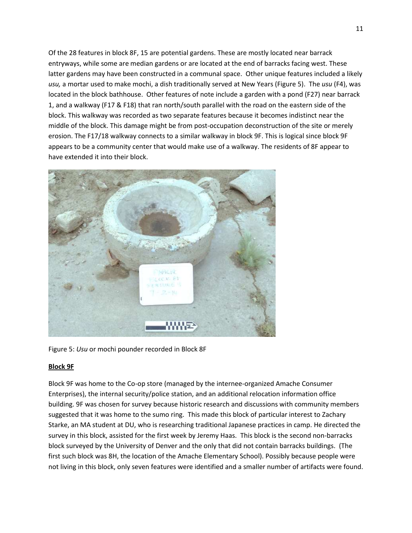Of the 28 features in block 8F, 15 are potential gardens. These are mostly located near barrack entryways, while some are median gardens or are located at the end of barracks facing west. These latter gardens may have been constructed in a communal space. Other unique features included a likely *usu,* a mortar used to make mochi, a dish traditionally served at New Years (Figure 5). The *usu* (F4), was located in the block bathhouse. Other features of note include a garden with a pond (F27) near barrack 1, and a walkway (F17 & F18) that ran north/south parallel with the road on the eastern side of the block. This walkway was recorded as two separate features because it becomes indistinct near the middle of the block. This damage might be from post-occupation deconstruction of the site or merely erosion. The F17/18 walkway connects to a similar walkway in block 9F. This is logical since block 9F appears to be a community center that would make use of a walkway. The residents of 8F appear to have extended it into their block.



Figure 5: *Usu* or mochi pounder recorded in Block 8F

# **Block 9F**

Block 9F was home to the Co-op store (managed by the internee-organized Amache Consumer Enterprises), the internal security/police station, and an additional relocation information office building. 9F was chosen for survey because historic research and discussions with community members suggested that it was home to the sumo ring. This made this block of particular interest to Zachary Starke, an MA student at DU, who is researching traditional Japanese practices in camp. He directed the survey in this block, assisted for the first week by Jeremy Haas. This block is the second non-barracks block surveyed by the University of Denver and the only that did not contain barracks buildings. (The first such block was 8H, the location of the Amache Elementary School). Possibly because people were not living in this block, only seven features were identified and a smaller number of artifacts were found.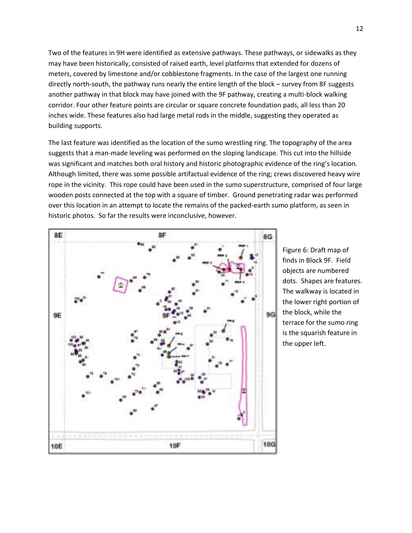Two of the features in 9H were identified as extensive pathways. These pathways, or sidewalks as they may have been historically, consisted of raised earth, level platforms that extended for dozens of meters, covered by limestone and/or cobblestone fragments. In the case of the largest one running directly north-south, the pathway runs nearly the entire length of the block – survey from 8F suggests another pathway in that block may have joined with the 9F pathway, creating a multi-block walking corridor. Four other feature points are circular or square concrete foundation pads, all less than 20 inches wide. These features also had large metal rods in the middle, suggesting they operated as building supports.

The last feature was identified as the location of the sumo wrestling ring. The topography of the area suggests that a man-made leveling was performed on the sloping landscape. This cut into the hillside was significant and matches both oral history and historic photographic evidence of the ring's location. Although limited, there was some possible artifactual evidence of the ring; crews discovered heavy wire rope in the vicinity. This rope could have been used in the sumo superstructure, comprised of four large wooden posts connected at the top with a square of timber. Ground penetrating radar was performed over this location in an attempt to locate the remains of the packed-earth sumo platform, as seen in historic photos. So far the results were inconclusive, however.



Figure 6: Draft map of finds in Block 9F. Field objects are numbered dots. Shapes are features. The walkway is located in the lower right portion of the block, while the terrace for the sumo ring is the squarish feature in the upper left.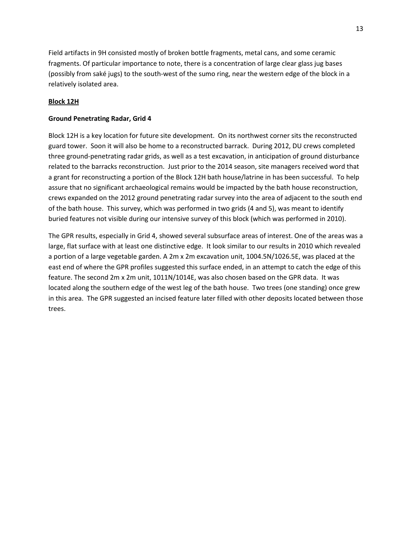Field artifacts in 9H consisted mostly of broken bottle fragments, metal cans, and some ceramic fragments. Of particular importance to note, there is a concentration of large clear glass jug bases (possibly from saké jugs) to the south-west of the sumo ring, near the western edge of the block in a relatively isolated area.

## **Block 12H**

### **Ground Penetrating Radar, Grid 4**

Block 12H is a key location for future site development. On its northwest corner sits the reconstructed guard tower. Soon it will also be home to a reconstructed barrack. During 2012, DU crews completed three ground-penetrating radar grids, as well as a test excavation, in anticipation of ground disturbance related to the barracks reconstruction. Just prior to the 2014 season, site managers received word that a grant for reconstructing a portion of the Block 12H bath house/latrine in has been successful. To help assure that no significant archaeological remains would be impacted by the bath house reconstruction, crews expanded on the 2012 ground penetrating radar survey into the area of adjacent to the south end of the bath house. This survey, which was performed in two grids (4 and 5), was meant to identify buried features not visible during our intensive survey of this block (which was performed in 2010).

The GPR results, especially in Grid 4, showed several subsurface areas of interest. One of the areas was a large, flat surface with at least one distinctive edge. It look similar to our results in 2010 which revealed a portion of a large vegetable garden. A 2m x 2m excavation unit, 1004.5N/1026.5E, was placed at the east end of where the GPR profiles suggested this surface ended, in an attempt to catch the edge of this feature. The second 2m x 2m unit, 1011N/1014E, was also chosen based on the GPR data. It was located along the southern edge of the west leg of the bath house. Two trees (one standing) once grew in this area. The GPR suggested an incised feature later filled with other deposits located between those trees.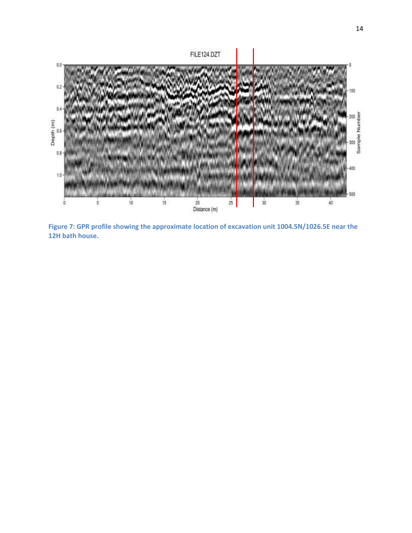

**Figure 7: GPR profile showing the approximate location of excavation unit 1004.5N/1026.5E near the 12H bath house.**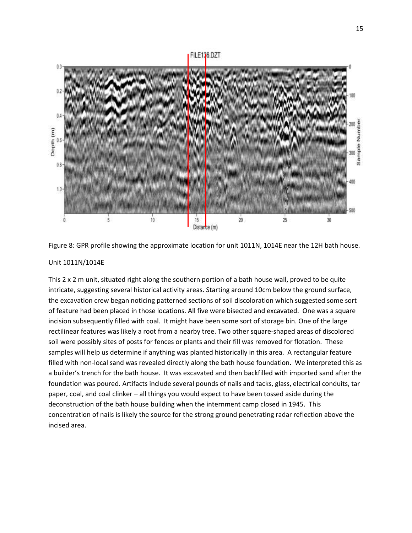# FILE136.DZT





#### Unit 1011N/1014E

This 2 x 2 m unit, situated right along the southern portion of a bath house wall, proved to be quite intricate, suggesting several historical activity areas. Starting around 10cm below the ground surface, the excavation crew began noticing patterned sections of soil discoloration which suggested some sort of feature had been placed in those locations. All five were bisected and excavated. One was a square incision subsequently filled with coal. It might have been some sort of storage bin. One of the large rectilinear features was likely a root from a nearby tree. Two other square-shaped areas of discolored soil were possibly sites of posts for fences or plants and their fill was removed for flotation. These samples will help us determine if anything was planted historically in this area. A rectangular feature filled with non-local sand was revealed directly along the bath house foundation. We interpreted this as a builder's trench for the bath house. It was excavated and then backfilled with imported sand after the foundation was poured. Artifacts include several pounds of nails and tacks, glass, electrical conduits, tar paper, coal, and coal clinker – all things you would expect to have been tossed aside during the deconstruction of the bath house building when the internment camp closed in 1945. This concentration of nails is likely the source for the strong ground penetrating radar reflection above the incised area.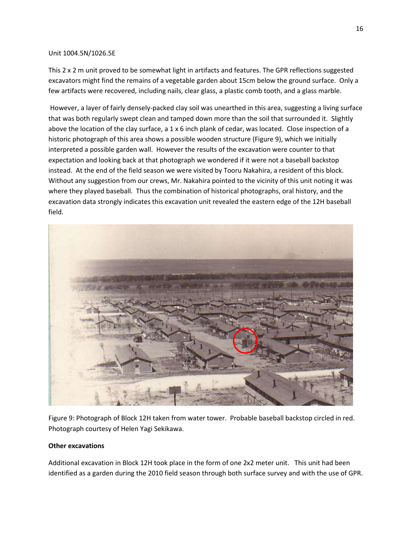#### Unit 1004.5N/1026.5E

This 2 x 2 m unit proved to be somewhat light in artifacts and features. The GPR reflections suggested excavators might find the remains of a vegetable garden about 15cm below the ground surface. Only a few artifacts were recovered, including nails, clear glass, a plastic comb tooth, and a glass marble.

However, a layer of fairly densely-packed clay soil was unearthed in this area, suggesting a living surface that was both regularly swept clean and tamped down more than the soil that surrounded it. Slightly above the location of the clay surface, a 1 x 6 inch plank of cedar, was located. Close inspection of a historic photograph of this area shows a possible wooden structure (Figure 9), which we initially interpreted a possible garden wall. However the results of the excavation were counter to that expectation and looking back at that photograph we wondered if it were not a baseball backstop instead. At the end of the field season we were visited by Tooru Nakahira, a resident of this block. Without any suggestion from our crews, Mr. Nakahira pointed to the vicinity of this unit noting it was where they played baseball. Thus the combination of historical photographs, oral history, and the excavation data strongly indicates this excavation unit revealed the eastern edge of the 12H baseball field.



Figure 9: Photograph of Block 12H taken from water tower. Probable baseball backstop circled in red. Photograph courtesy of Helen Yagi Sekikawa.

#### **Other excavations**

Additional excavation in Block 12H took place in the form of one 2x2 meter unit. This unit had been identified as a garden during the 2010 field season through both surface survey and with the use of GPR.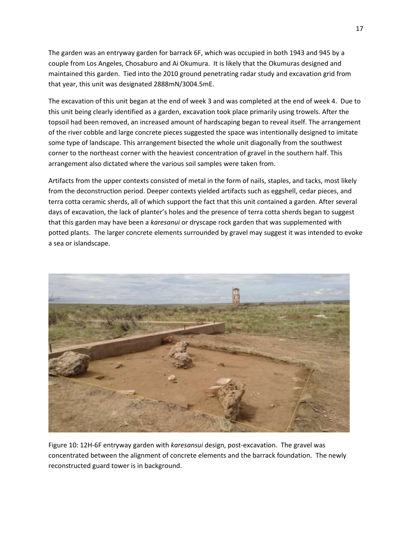The garden was an entryway garden for barrack 6F, which was occupied in both 1943 and 945 by a couple from Los Angeles, Chosaburo and Ai Okumura. It is likely that the Okumuras designed and maintained this garden. Tied into the 2010 ground penetrating radar study and excavation grid from that year, this unit was designated 2888mN/3004.5mE.

The excavation of this unit began at the end of week 3 and was completed at the end of week 4. Due to this unit being clearly identified as a garden, excavation took place primarily using trowels. After the topsoil had been removed, an increased amount of hardscaping began to reveal itself. The arrangement of the river cobble and large concrete pieces suggested the space was intentionally designed to imitate some type of landscape. This arrangement bisected the whole unit diagonally from the southwest corner to the northeast corner with the heaviest concentration of gravel in the southern half. This arrangement also dictated where the various soil samples were taken from.

Artifacts from the upper contexts consisted of metal in the form of nails, staples, and tacks, most likely from the deconstruction period. Deeper contexts yielded artifacts such as eggshell, cedar pieces, and terra cotta ceramic sherds, all of which support the fact that this unit contained a garden. After several days of excavation, the lack of planter's holes and the presence of terra cotta sherds began to suggest that this garden may have been a *karesanui* or dryscape rock garden that was supplemented with potted plants. The larger concrete elements surrounded by gravel may suggest it was intended to evoke a sea or islandscape.



Figure 10: 12H-6F entryway garden with *karesansui* design, post-excavation. The gravel was concentrated between the alignment of concrete elements and the barrack foundation. The newly reconstructed guard tower is in background.